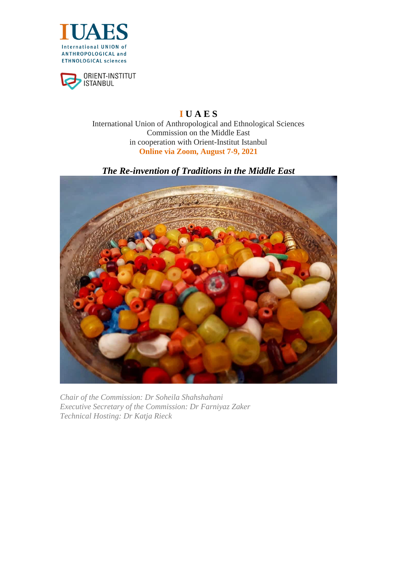



# **I U A E S** International Union of Anthropological and Ethnological Sciences Commission on the Middle East in cooperation with Orient-Institut Istanbul **Online via Zoom, August 7-9, 2021**

*The Re-invention of Traditions in the Middle East*



*Chair of the Commission: Dr Soheila Shahshahani Executive Secretary of the Commission: Dr Farniyaz Zaker Technical Hosting: Dr Katja Rieck*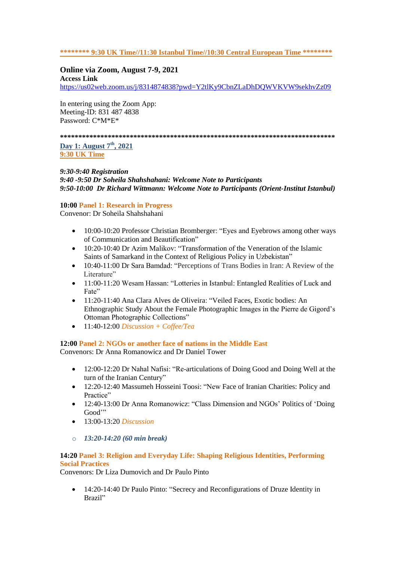### **\*\*\*\*\*\*\*\* 9:30 UK Time//11:30 Istanbul Time//10:30 Central European Time \*\*\*\*\*\*\*\***

### **Online via Zoom, August 7-9, 2021**

**Access Link** <https://us02web.zoom.us/j/8314874838?pwd=Y2tlKy9CbnZLaDhDQWVKVW9sekhvZz09>

In entering using the Zoom App: Meeting-ID: 831 487 4838 Password: C\*M\*E\*

**\*\*\*\*\*\*\*\*\*\*\*\*\*\*\*\*\*\*\*\*\*\*\*\*\*\*\*\*\*\*\*\*\*\*\*\*\*\*\*\*\*\*\*\*\*\*\*\*\*\*\*\*\*\*\*\*\*\*\*\*\*\*\*\*\*\*\*\*\*\*\*\*\*\*\***

**Day 1: August 7th, 2021 9:30 UK Time**

#### *9:30-9:40 Registration*

*9:40 -9:50 Dr Soheila Shahshahani: Welcome Note to Participants 9:50-10:00 Dr Richard Wittmann: Welcome Note to Participants (Orient-Institut Istanbul)*

#### **10:00 Panel 1: Research in Progress**

Convenor: Dr Soheila Shahshahani

- 10:00-10:20 Professor Christian Bromberger: "Eyes and Eyebrows among other ways of Communication and Beautification"
- 10:20-10:40 Dr Azim Malikov: "Transformation of the Veneration of the Islamic Saints of Samarkand in the Context of Religious Policy in Uzbekistan"
- 10:40-11:00 Dr Sara Bamdad: "Perceptions of Trans Bodies in Iran: A Review of the Literature"
- 11:00-11:20 Wesam Hassan: "Lotteries in Istanbul: Entangled Realities of Luck and Fate"
- 11:20-11:40 Ana Clara Alves de Oliveira: "Veiled Faces, Exotic bodies: An Ethnographic Study About the Female Photographic Images in the Pierre de Gigord"s Ottoman Photographic Collections"
- 11:40-12:00 *Discussion + Coffee/Tea*

### **12:00 Panel 2: NGOs or another face of nations in the Middle East**

Convenors: Dr Anna Romanowicz and Dr Daniel Tower

- 12:00-12:20 Dr Nahal Nafisi: "Re-articulations of Doing Good and Doing Well at the turn of the Iranian Century"
- 12:20-12:40 Massumeh Hosseini Toosi: "New Face of Iranian Charities: Policy and Practice"
- 12:40-13:00 Dr Anna Romanowicz: "Class Dimension and NGOs' Politics of 'Doing Good"
- 13:00-13:20 *Discussion*
- o *13:20-14:20 (60 min break)*

### **14:20 Panel 3: Religion and Everyday Life: Shaping Religious Identities, Performing Social Practices**

Convenors: Dr Liza Dumovich and Dr Paulo Pinto

 14:20-14:40 Dr Paulo Pinto: "Secrecy and Reconfigurations of Druze Identity in Brazil"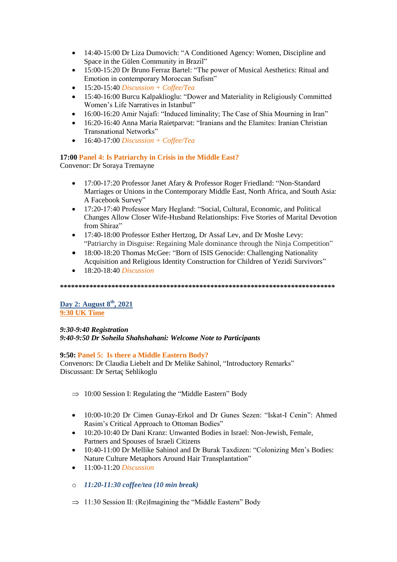- 14:40-15:00 Dr Liza Dumovich: "A Conditioned Agency: Women, Discipline and Space in the Gülen Community in Brazil"
- 15:00-15:20 Dr Bruno Ferraz Bartel: "The power of Musical Aesthetics: Ritual and Emotion in contemporary Moroccan Sufism"
- 15:20-15:40 *Discussion + Coffee/Tea*
- 15:40-16:00 Burcu Kalpaklioglu: "Dower and Materiality in Religiously Committed Women"s Life Narratives in Istanbul"
- 16:00-16:20 Amir Najafi: "Induced liminality; The Case of Shia Mourning in Iran"
- 16:20-16:40 Anna Maria Raietparvat: "Iranians and the Elamites: Iranian Christian Transnational Networks"
- 16:40-17:00 *Discussion + Coffee/Tea*

### **17:00 Panel 4: Is Patriarchy in Crisis in the Middle East?**

Convenor: Dr Soraya Tremayne

- 17:00-17:20 Professor Janet Afary & Professor Roger Friedland: "Non-Standard Marriages or Unions in the Contemporary Middle East, North Africa, and South Asia: A Facebook Survey"
- 17:20-17:40 Professor Mary Hegland: "Social, Cultural, Economic, and Political Changes Allow Closer Wife-Husband Relationships: Five Stories of Marital Devotion from Shiraz"
- 17:40-18:00 Professor Esther Hertzog, Dr Assaf Lev, and Dr Moshe Levy: "Patriarchy in Disguise: Regaining Male dominance through the Ninja Competition"
- 18:00-18:20 Thomas McGee: "Born of ISIS Genocide: Challenging Nationality Acquisition and Religious Identity Construction for Children of Yezidi Survivors"
- 18:20-18:40 *Discussion*

### **\*\*\*\*\*\*\*\*\*\*\*\*\*\*\*\*\*\*\*\*\*\*\*\*\*\*\*\*\*\*\*\*\*\*\*\*\*\*\*\*\*\*\*\*\*\*\*\*\*\*\*\*\*\*\*\*\*\*\*\*\*\*\*\*\*\*\*\*\*\*\*\*\*\*\***

**Day 2: August 8th, 2021 9:30 UK Time**

# *9:30-9:40 Registration 9:40-9:50 Dr Soheila Shahshahani: Welcome Note to Participants*

### **9:50: Panel 5: Is there a Middle Eastern Body?**

Convenors: Dr Claudia Liebelt and Dr Melike Sahinol, "Introductory Remarks" Discussant: Dr Sertaç Sehlikoglu

- $\Rightarrow$  10:00 Session I: Regulating the "Middle Eastern" Body
- 10:00-10:20 Dr Cimen Gunay-Erkol and Dr Gunes Sezen: "Iskat-I Cenin": Ahmed Rasim"s Critical Approach to Ottoman Bodies"
- 10:20-10:40 Dr Dani Kranz: Unwanted Bodies in Israel: Non-Jewish, Female, Partners and Spouses of Israeli Citizens
- 10:40-11:00 Dr Mellike Sahinol and Dr Burak Taxdizen: "Colonizing Men"s Bodies: Nature Culture Metaphors Around Hair Transplantation"
- 11:00-11:20 *Discussion*
- o *11:20-11:30 coffee/tea (10 min break)*
- $\Rightarrow$  11:30 Session II: (Re)Imagining the "Middle Eastern" Body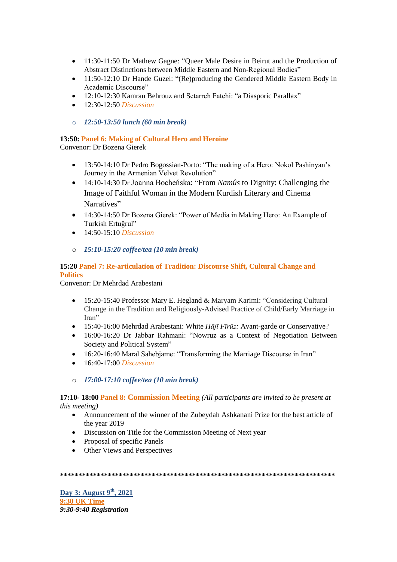- 11:30-11:50 Dr Mathew Gagne: "Queer Male Desire in Beirut and the Production of Abstract Distinctions between Middle Eastern and Non-Regional Bodies"
- 11:50-12:10 Dr Hande Guzel: "(Re)producing the Gendered Middle Eastern Body in Academic Discourse"
- 12:10-12:30 Kamran Behrouz and Setarreh Fatehi: "a Diasporic Parallax"
- 12:30-12:50 *Discussion*
- o *12:50-13:50 lunch (60 min break)*

# **13:50: Panel 6: Making of Cultural Hero and Heroine**

Convenor: Dr Bozena Gierek

- 13:50-14:10 Dr Pedro Bogossian-Porto: "The making of a Hero: Nokol Pashinyan"s Journey in the Armenian Velvet Revolution"
- 14:10-14:30 Dr Joanna Bocheńska: "From *Namûs* to Dignity: Challenging the Image of Faithful Woman in the Modern Kurdish Literary and Cinema Narratives"
- 14:30-14:50 Dr Bozena Gierek: "Power of Media in Making Hero: An Example of Turkish Ertuğrul"
- 14:50-15:10 *Discussion*
- o *15:10-15:20 coffee/tea (10 min break)*

### **15:20 Panel 7: Re-articulation of Tradition: Discourse Shift, Cultural Change and Politics**

Convenor: Dr Mehrdad Arabestani

- 15:20-15:40 Professor Mary E. Hegland & Maryam Karimi: "Considering Cultural Change in the Tradition and Religiously-Advised Practice of Child/Early Marriage in Iran"
- 15:40-16:00 Mehrdad Arabestani: White *Hājī Fīrūz:* Avant-garde or Conservative?
- 16:00-16:20 Dr Jabbar Rahmani: "Nowruz as a Context of Negotiation Between Society and Political System"
- 16:20-16:40 Maral Sahebjame: "Transforming the Marriage Discourse in Iran"
- 16:40-17:00 *Discussion*
- o *17:00-17:10 coffee/tea (10 min break)*

### **17:10- 18:00 Panel 8: Commission Meeting** *(All participants are invited to be present at this meeting)*

- Announcement of the winner of the Zubeydah Ashkanani Prize for the best article of the year 2019
- Discussion on Title for the Commission Meeting of Next year
- Proposal of specific Panels
- Other Views and Perspectives

**\*\*\*\*\*\*\*\*\*\*\*\*\*\*\*\*\*\*\*\*\*\*\*\*\*\*\*\*\*\*\*\*\*\*\*\*\*\*\*\*\*\*\*\*\*\*\*\*\*\*\*\*\*\*\*\*\*\*\*\*\*\*\*\*\*\*\*\*\*\*\*\*\*\*\***

**Day 3: August 9th, 2021 9:30 UK Time** *9:30-9:40 Registration*